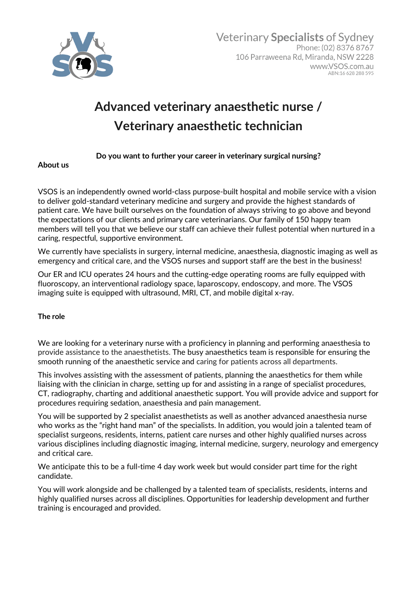

# **Advanced veterinary anaesthetic nurse / Veterinary anaesthetic technician**

## **Do you want to further your career in veterinary surgical nursing?**

#### **About us**

VSOS is an independently owned world-class purpose-built hospital and mobile service with a vision to deliver gold-standard veterinary medicine and surgery and provide the highest standards of patient care. We have built ourselves on the foundation of always striving to go above and beyond the expectations of our clients and primary care veterinarians. Our family of 150 happy team members will tell you that we believe our staff can achieve their fullest potential when nurtured in a caring, respectful, supportive environment.

We currently have specialists in surgery, internal medicine, anaesthesia, diagnostic imaging as well as emergency and critical care, and the VSOS nurses and support staff are the best in the business!

Our ER and ICU operates 24 hours and the cutting-edge operating rooms are fully equipped with fluoroscopy, an interventional radiology space, laparoscopy, endoscopy, and more. The VSOS imaging suite is equipped with ultrasound, MRI, CT, and mobile digital x-ray.

### **The role**

We are looking for a veterinary nurse with a proficiency in planning and performing anaesthesia to provide assistance to the anaesthetists. The busy anaesthetics team is responsible for ensuring the smooth running of the anaesthetic service and caring for patients across all departments.

This involves assisting with the assessment of patients, planning the anaesthetics for them while liaising with the clinician in charge, setting up for and assisting in a range of specialist procedures, CT, radiography, charting and additional anaesthetic support. You will provide advice and support for procedures requiring sedation, anaesthesia and pain management.

You will be supported by 2 specialist anaesthetists as well as another advanced anaesthesia nurse who works as the "right hand man" of the specialists. In addition, you would join a talented team of specialist surgeons, residents, interns, patient care nurses and other highly qualified nurses across various disciplines including diagnostic imaging, internal medicine, surgery, neurology and emergency and critical care.

We anticipate this to be a full-time 4 day work week but would consider part time for the right candidate.

You will work alongside and be challenged by a talented team of specialists, residents, interns and highly qualified nurses across all disciplines. Opportunities for leadership development and further training is encouraged and provided.